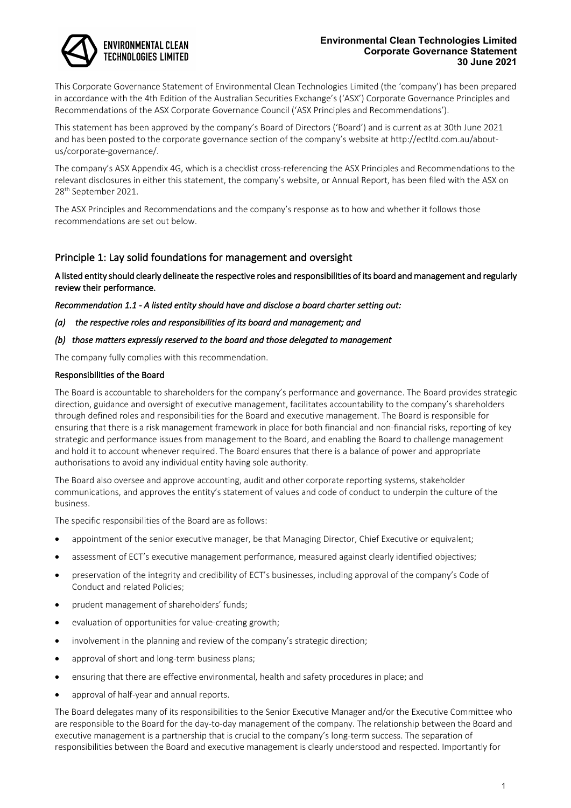# **ENVIRONMENTAL CLEAN** TECHNOLOGIES LIMITED

#### **Environmental Clean Technologies Limited Corporate Governance Statement 30 June 2021**

This Corporate Governance Statement of Environmental Clean Technologies Limited (the 'company') has been prepared in accordance with the 4th Edition of the Australian Securities Exchange's ('ASX') Corporate Governance Principles and Recommendations of the ASX Corporate Governance Council ('ASX Principles and Recommendations').

This statement has been approved by the company's Board of Directors ('Board') and is current as at 30th June 2021 and has been posted to the corporate governance section of the company's website at http://ectltd.com.au/aboutus/corporate-governance/.

The company's ASX Appendix 4G, which is a checklist cross-referencing the ASX Principles and Recommendations to the relevant disclosures in either this statement, the company's website, or Annual Report, has been filed with the ASX on 28<sup>th</sup> September 2021.

The ASX Principles and Recommendations and the company's response as to how and whether it follows those recommendations are set out below.

# Principle 1: Lay solid foundations for management and oversight

A listed entity should clearly delineate the respective roles and responsibilities of its board and management and regularly review their performance.

*Recommendation 1.1 - A listed entity should have and disclose a board charter setting out:* 

*(a) the respective roles and responsibilities of its board and management; and* 

# *(b) those matters expressly reserved to the board and those delegated to management*

The company fully complies with this recommendation.

# Responsibilities of the Board

The Board is accountable to shareholders for the company's performance and governance. The Board provides strategic direction, guidance and oversight of executive management, facilitates accountability to the company's shareholders through defined roles and responsibilities for the Board and executive management. The Board is responsible for ensuring that there is a risk management framework in place for both financial and non-financial risks, reporting of key strategic and performance issues from management to the Board, and enabling the Board to challenge management and hold it to account whenever required. The Board ensures that there is a balance of power and appropriate authorisations to avoid any individual entity having sole authority.

The Board also oversee and approve accounting, audit and other corporate reporting systems, stakeholder communications, and approves the entity's statement of values and code of conduct to underpin the culture of the business.

The specific responsibilities of the Board are as follows:

- appointment of the senior executive manager, be that Managing Director, Chief Executive or equivalent;
- assessment of ECT's executive management performance, measured against clearly identified objectives;
- preservation of the integrity and credibility of ECT's businesses, including approval of the company's Code of Conduct and related Policies;
- prudent management of shareholders' funds;
- evaluation of opportunities for value-creating growth;
- involvement in the planning and review of the company's strategic direction;
- approval of short and long-term business plans;
- ensuring that there are effective environmental, health and safety procedures in place; and
- approval of half-year and annual reports.

The Board delegates many of its responsibilities to the Senior Executive Manager and/or the Executive Committee who are responsible to the Board for the day-to-day management of the company. The relationship between the Board and executive management is a partnership that is crucial to the company's long-term success. The separation of responsibilities between the Board and executive management is clearly understood and respected. Importantly for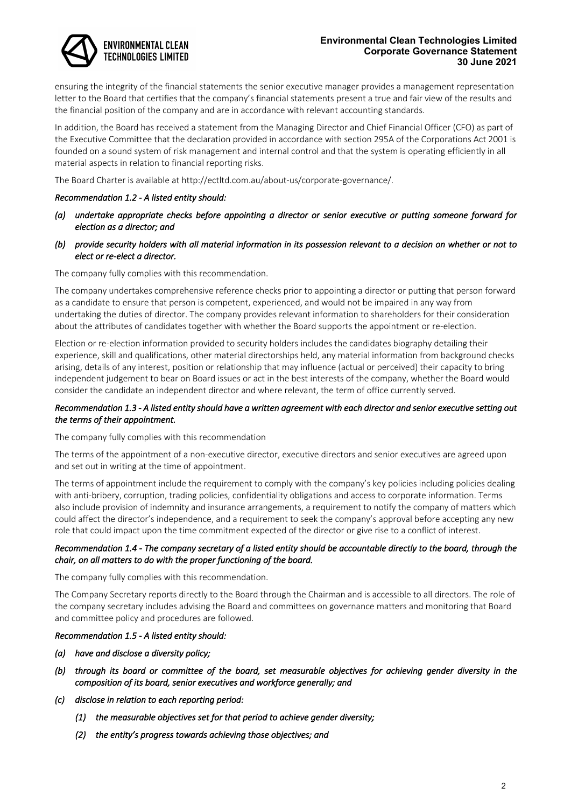# **ENVIRONMENTAL CLEAN** TECHNOLOGIES LIMITED

#### **Environmental Clean Technologies Limited Corporate Governance Statement 30 June 2021**

ensuring the integrity of the financial statements the senior executive manager provides a management representation letter to the Board that certifies that the company's financial statements present a true and fair view of the results and the financial position of the company and are in accordance with relevant accounting standards.

In addition, the Board has received a statement from the Managing Director and Chief Financial Officer (CFO) as part of the Executive Committee that the declaration provided in accordance with section 295A of the Corporations Act 2001 is founded on a sound system of risk management and internal control and that the system is operating efficiently in all material aspects in relation to financial reporting risks.

The Board Charter is available at http://ectltd.com.au/about-us/corporate-governance/.

# *Recommendation 1.2 - A listed entity should:*

- *(a) undertake appropriate checks before appointing a director or senior executive or putting someone forward for election as a director; and*
- *(b) provide security holders with all material information in its possession relevant to a decision on whether or not to elect or re-elect a director.*

The company fully complies with this recommendation.

The company undertakes comprehensive reference checks prior to appointing a director or putting that person forward as a candidate to ensure that person is competent, experienced, and would not be impaired in any way from undertaking the duties of director. The company provides relevant information to shareholders for their consideration about the attributes of candidates together with whether the Board supports the appointment or re-election.

Election or re-election information provided to security holders includes the candidates biography detailing their experience, skill and qualifications, other material directorships held, any material information from background checks arising, details of any interest, position or relationship that may influence (actual or perceived) their capacity to bring independent judgement to bear on Board issues or act in the best interests of the company, whether the Board would consider the candidate an independent director and where relevant, the term of office currently served.

# *Recommendation 1.3 - A listed entity should have a written agreement with each director and senior executive setting out the terms of their appointment.*

The company fully complies with this recommendation

The terms of the appointment of a non-executive director, executive directors and senior executives are agreed upon and set out in writing at the time of appointment.

The terms of appointment include the requirement to comply with the company's key policies including policies dealing with anti-bribery, corruption, trading policies, confidentiality obligations and access to corporate information. Terms also include provision of indemnity and insurance arrangements, a requirement to notify the company of matters which could affect the director's independence, and a requirement to seek the company's approval before accepting any new role that could impact upon the time commitment expected of the director or give rise to a conflict of interest.

# *Recommendation 1.4 - The company secretary of a listed entity should be accountable directly to the board, through the chair, on all matters to do with the proper functioning of the board.*

The company fully complies with this recommendation.

The Company Secretary reports directly to the Board through the Chairman and is accessible to all directors. The role of the company secretary includes advising the Board and committees on governance matters and monitoring that Board and committee policy and procedures are followed.

#### *Recommendation 1.5 - A listed entity should:*

- *(a) have and disclose a diversity policy;*
- *(b) through its board or committee of the board, set measurable objectives for achieving gender diversity in the composition of its board, senior executives and workforce generally; and*
- *(c) disclose in relation to each reporting period:* 
	- *(1) the measurable objectives set for that period to achieve gender diversity;*
	- *(2) the entity's progress towards achieving those objectives; and*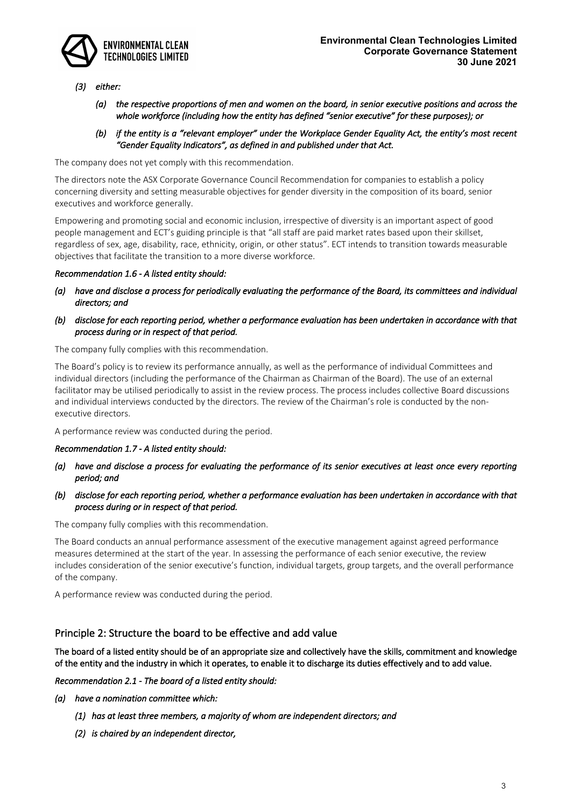

# *(3) either:*

- *(a) the respective proportions of men and women on the board, in senior executive positions and across the whole workforce (including how the entity has defined "senior executive" for these purposes); or*
- *(b) if the entity is a "relevant employer" under the Workplace Gender Equality Act, the entity's most recent "Gender Equality Indicators", as defined in and published under that Act.*

The company does not yet comply with this recommendation.

The directors note the ASX Corporate Governance Council Recommendation for companies to establish a policy concerning diversity and setting measurable objectives for gender diversity in the composition of its board, senior executives and workforce generally.

Empowering and promoting social and economic inclusion, irrespective of diversity is an important aspect of good people management and ECT's guiding principle is that "all staff are paid market rates based upon their skillset, regardless of sex, age, disability, race, ethnicity, origin, or other status". ECT intends to transition towards measurable objectives that facilitate the transition to a more diverse workforce.

#### *Recommendation 1.6 - A listed entity should:*

- *(a) have and disclose a process for periodically evaluating the performance of the Board, its committees and individual directors; and*
- *(b) disclose for each reporting period, whether a performance evaluation has been undertaken in accordance with that process during or in respect of that period.*

The company fully complies with this recommendation.

The Board's policy is to review its performance annually, as well as the performance of individual Committees and individual directors (including the performance of the Chairman as Chairman of the Board). The use of an external facilitator may be utilised periodically to assist in the review process. The process includes collective Board discussions and individual interviews conducted by the directors. The review of the Chairman's role is conducted by the nonexecutive directors.

A performance review was conducted during the period.

#### *Recommendation 1.7 - A listed entity should:*

- *(a) have and disclose a process for evaluating the performance of its senior executives at least once every reporting period; and*
- *(b) disclose for each reporting period, whether a performance evaluation has been undertaken in accordance with that process during or in respect of that period.*

The company fully complies with this recommendation.

The Board conducts an annual performance assessment of the executive management against agreed performance measures determined at the start of the year. In assessing the performance of each senior executive, the review includes consideration of the senior executive's function, individual targets, group targets, and the overall performance of the company.

A performance review was conducted during the period.

# Principle 2: Structure the board to be effective and add value

The board of a listed entity should be of an appropriate size and collectively have the skills, commitment and knowledge of the entity and the industry in which it operates, to enable it to discharge its duties effectively and to add value.

*Recommendation 2.1 - The board of a listed entity should:* 

- *(a) have a nomination committee which:* 
	- *(1) has at least three members, a majority of whom are independent directors; and*
	- *(2) is chaired by an independent director,*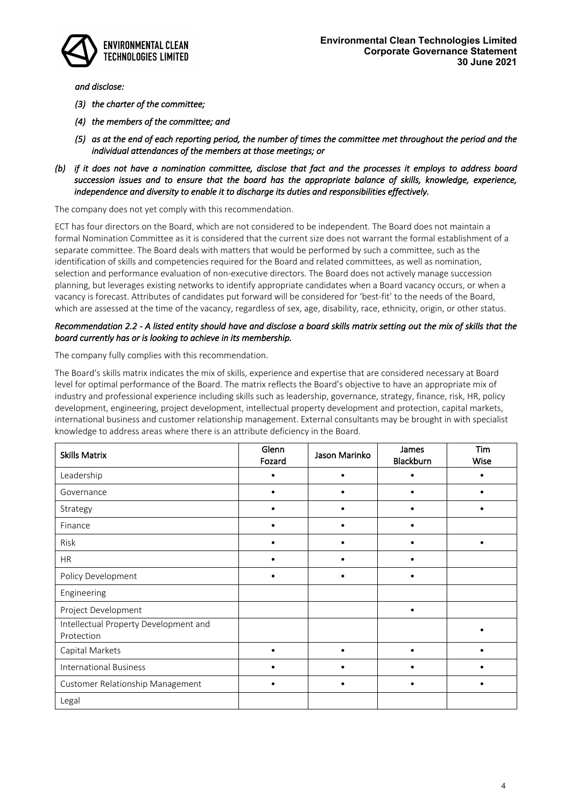

*and disclose:* 

- *(3) the charter of the committee;*
- *(4) the members of the committee; and*
- *(5) as at the end of each reporting period, the number of times the committee met throughout the period and the individual attendances of the members at those meetings; or*
- *(b) if it does not have a nomination committee, disclose that fact and the processes it employs to address board succession issues and to ensure that the board has the appropriate balance of skills, knowledge, experience, independence and diversity to enable it to discharge its duties and responsibilities effectively.*

The company does not yet comply with this recommendation.

ECT has four directors on the Board, which are not considered to be independent. The Board does not maintain a formal Nomination Committee as it is considered that the current size does not warrant the formal establishment of a separate committee. The Board deals with matters that would be performed by such a committee, such as the identification of skills and competencies required for the Board and related committees, as well as nomination, selection and performance evaluation of non-executive directors. The Board does not actively manage succession planning, but leverages existing networks to identify appropriate candidates when a Board vacancy occurs, or when a vacancy is forecast. Attributes of candidates put forward will be considered for 'best-fit' to the needs of the Board, which are assessed at the time of the vacancy, regardless of sex, age, disability, race, ethnicity, origin, or other status.

### *Recommendation 2.2 - A listed entity should have and disclose a board skills matrix setting out the mix of skills that the board currently has or is looking to achieve in its membership.*

The company fully complies with this recommendation.

The Board's skills matrix indicates the mix of skills, experience and expertise that are considered necessary at Board level for optimal performance of the Board. The matrix reflects the Board's objective to have an appropriate mix of industry and professional experience including skills such as leadership, governance, strategy, finance, risk, HR, policy development, engineering, project development, intellectual property development and protection, capital markets, international business and customer relationship management. External consultants may be brought in with specialist knowledge to address areas where there is an attribute deficiency in the Board.

| <b>Skills Matrix</b>                                | Glenn<br>Fozard | Jason Marinko | James<br>Blackburn | Tim<br>Wise |
|-----------------------------------------------------|-----------------|---------------|--------------------|-------------|
| Leadership                                          |                 |               |                    |             |
| Governance                                          | $\bullet$       |               |                    |             |
| Strategy                                            | $\bullet$       |               | $\bullet$          |             |
| Finance                                             |                 |               |                    |             |
| Risk                                                |                 |               |                    |             |
| <b>HR</b>                                           | $\bullet$       |               |                    |             |
| Policy Development                                  | $\bullet$       |               |                    |             |
| Engineering                                         |                 |               |                    |             |
| Project Development                                 |                 |               | $\bullet$          |             |
| Intellectual Property Development and<br>Protection |                 |               |                    |             |
| Capital Markets                                     | $\bullet$       |               |                    |             |
| <b>International Business</b>                       | $\bullet$       |               |                    |             |
| Customer Relationship Management                    | ٠               |               |                    |             |
| Legal                                               |                 |               |                    |             |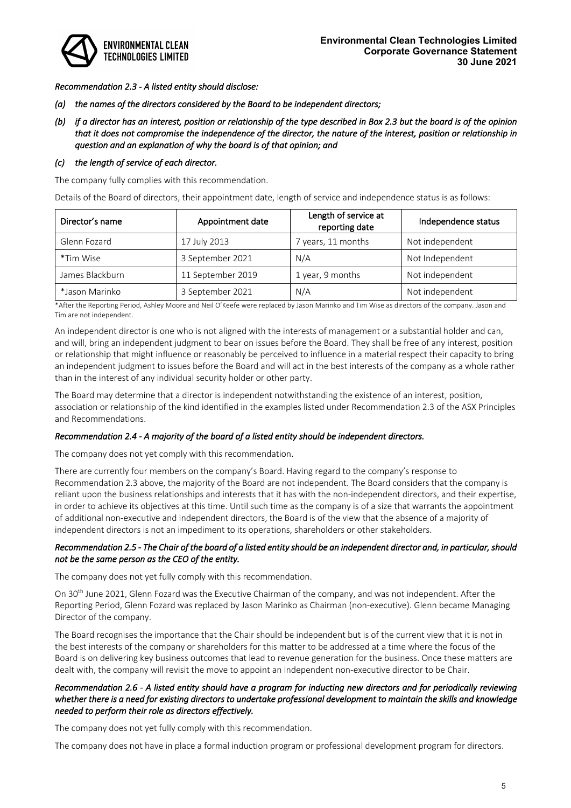

*Recommendation 2.3 - A listed entity should disclose:* 

- *(a) the names of the directors considered by the Board to be independent directors;*
- *(b) if a director has an interest, position or relationship of the type described in Box 2.3 but the board is of the opinion that it does not compromise the independence of the director, the nature of the interest, position or relationship in question and an explanation of why the board is of that opinion; and*

# *(c) the length of service of each director.*

The company fully complies with this recommendation.

Details of the Board of directors, their appointment date, length of service and independence status is as follows:

| Director's name | Appointment date  | Length of service at<br>reporting date | Independence status |
|-----------------|-------------------|----------------------------------------|---------------------|
| Glenn Fozard    | 17 July 2013      | 7 years, 11 months                     | Not independent     |
| *Tim Wise       | 3 September 2021  | N/A                                    | Not Independent     |
| James Blackburn | 11 September 2019 | 1 year, 9 months                       | Not independent     |
| *Jason Marinko  | 3 September 2021  | N/A                                    | Not independent     |

\*After the Reporting Period, Ashley Moore and Neil O'Keefe were replaced by Jason Marinko and Tim Wise as directors of the company. Jason and Tim are not independent.

An independent director is one who is not aligned with the interests of management or a substantial holder and can, and will, bring an independent judgment to bear on issues before the Board. They shall be free of any interest, position or relationship that might influence or reasonably be perceived to influence in a material respect their capacity to bring an independent judgment to issues before the Board and will act in the best interests of the company as a whole rather than in the interest of any individual security holder or other party.

The Board may determine that a director is independent notwithstanding the existence of an interest, position, association or relationship of the kind identified in the examples listed under Recommendation 2.3 of the ASX Principles and Recommendations.

#### *Recommendation 2.4 - A majority of the board of a listed entity should be independent directors.*

The company does not yet comply with this recommendation.

There are currently four members on the company's Board. Having regard to the company's response to Recommendation 2.3 above, the majority of the Board are not independent. The Board considers that the company is reliant upon the business relationships and interests that it has with the non-independent directors, and their expertise, in order to achieve its objectives at this time. Until such time as the company is of a size that warrants the appointment of additional non-executive and independent directors, the Board is of the view that the absence of a majority of independent directors is not an impediment to its operations, shareholders or other stakeholders.

# *Recommendation 2.5 - The Chair of the board of a listed entity should be an independent director and, in particular, should not be the same person as the CEO of the entity.*

The company does not yet fully comply with this recommendation.

On 30th June 2021, Glenn Fozard was the Executive Chairman of the company, and was not independent. After the Reporting Period, Glenn Fozard was replaced by Jason Marinko as Chairman (non-executive). Glenn became Managing Director of the company.

The Board recognises the importance that the Chair should be independent but is of the current view that it is not in the best interests of the company or shareholders for this matter to be addressed at a time where the focus of the Board is on delivering key business outcomes that lead to revenue generation for the business. Once these matters are dealt with, the company will revisit the move to appoint an independent non-executive director to be Chair.

# *Recommendation 2.6 - A listed entity should have a program for inducting new directors and for periodically reviewing whether there is a need for existing directors to undertake professional development to maintain the skills and knowledge needed to perform their role as directors effectively.*

The company does not yet fully comply with this recommendation.

The company does not have in place a formal induction program or professional development program for directors.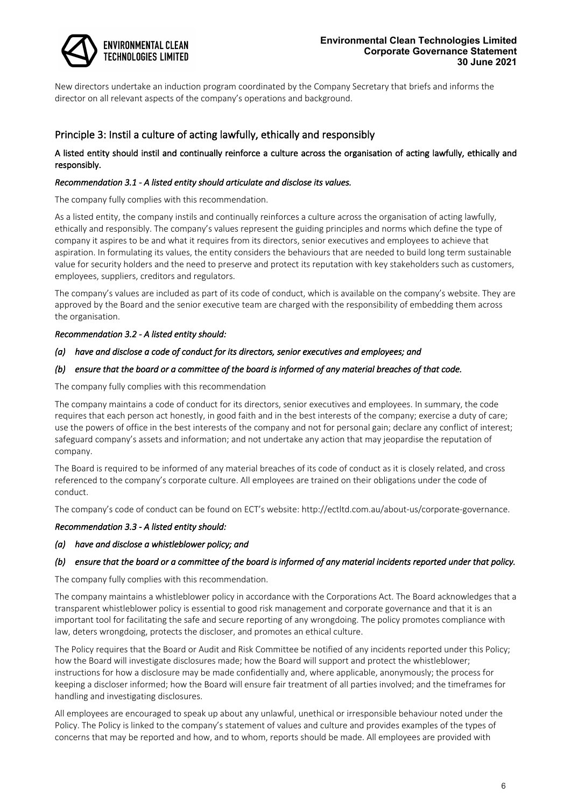

New directors undertake an induction program coordinated by the Company Secretary that briefs and informs the director on all relevant aspects of the company's operations and background.

# Principle 3: Instil a culture of acting lawfully, ethically and responsibly

# A listed entity should instil and continually reinforce a culture across the organisation of acting lawfully, ethically and responsibly.

# *Recommendation 3.1 - A listed entity should articulate and disclose its values.*

The company fully complies with this recommendation.

As a listed entity, the company instils and continually reinforces a culture across the organisation of acting lawfully, ethically and responsibly. The company's values represent the guiding principles and norms which define the type of company it aspires to be and what it requires from its directors, senior executives and employees to achieve that aspiration. In formulating its values, the entity considers the behaviours that are needed to build long term sustainable value for security holders and the need to preserve and protect its reputation with key stakeholders such as customers, employees, suppliers, creditors and regulators.

The company's values are included as part of its code of conduct, which is available on the company's website. They are approved by the Board and the senior executive team are charged with the responsibility of embedding them across the organisation.

# *Recommendation 3.2 - A listed entity should:*

# *(a) have and disclose a code of conduct for its directors, senior executives and employees; and*

# *(b) ensure that the board or a committee of the board is informed of any material breaches of that code.*

The company fully complies with this recommendation

The company maintains a code of conduct for its directors, senior executives and employees. In summary, the code requires that each person act honestly, in good faith and in the best interests of the company; exercise a duty of care; use the powers of office in the best interests of the company and not for personal gain; declare any conflict of interest; safeguard company's assets and information; and not undertake any action that may jeopardise the reputation of company.

The Board is required to be informed of any material breaches of its code of conduct as it is closely related, and cross referenced to the company's corporate culture. All employees are trained on their obligations under the code of conduct.

The company's code of conduct can be found on ECT's website: http://ectltd.com.au/about-us/corporate-governance.

#### *Recommendation 3.3 - A listed entity should:*

#### *(a) have and disclose a whistleblower policy; and*

# *(b) ensure that the board or a committee of the board is informed of any material incidents reported under that policy.*

The company fully complies with this recommendation.

The company maintains a whistleblower policy in accordance with the Corporations Act. The Board acknowledges that a transparent whistleblower policy is essential to good risk management and corporate governance and that it is an important tool for facilitating the safe and secure reporting of any wrongdoing. The policy promotes compliance with law, deters wrongdoing, protects the discloser, and promotes an ethical culture.

The Policy requires that the Board or Audit and Risk Committee be notified of any incidents reported under this Policy; how the Board will investigate disclosures made; how the Board will support and protect the whistleblower; instructions for how a disclosure may be made confidentially and, where applicable, anonymously; the process for keeping a discloser informed; how the Board will ensure fair treatment of all parties involved; and the timeframes for handling and investigating disclosures.

All employees are encouraged to speak up about any unlawful, unethical or irresponsible behaviour noted under the Policy. The Policy is linked to the company's statement of values and culture and provides examples of the types of concerns that may be reported and how, and to whom, reports should be made. All employees are provided with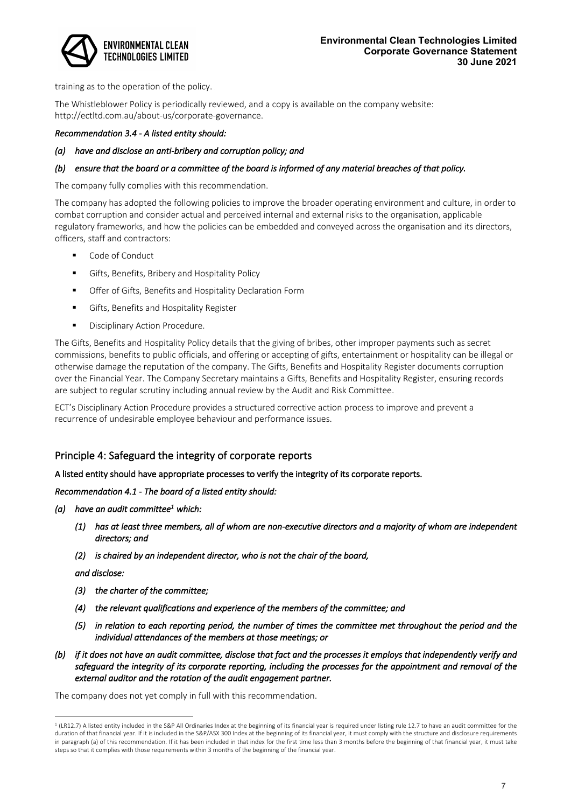

training as to the operation of the policy.

The Whistleblower Policy is periodically reviewed, and a copy is available on the company website: http://ectltd.com.au/about-us/corporate-governance.

### *Recommendation 3.4 - A listed entity should:*

### *(a) have and disclose an anti-bribery and corruption policy; and*

# *(b) ensure that the board or a committee of the board is informed of any material breaches of that policy.*

The company fully complies with this recommendation.

The company has adopted the following policies to improve the broader operating environment and culture, in order to combat corruption and consider actual and perceived internal and external risks to the organisation, applicable regulatory frameworks, and how the policies can be embedded and conveyed across the organisation and its directors, officers, staff and contractors:

- Code of Conduct
- Gifts, Benefits, Bribery and Hospitality Policy
- Offer of Gifts, Benefits and Hospitality Declaration Form
- **•** Gifts, Benefits and Hospitality Register
- Disciplinary Action Procedure.

The Gifts, Benefits and Hospitality Policy details that the giving of bribes, other improper payments such as secret commissions, benefits to public officials, and offering or accepting of gifts, entertainment or hospitality can be illegal or otherwise damage the reputation of the company. The Gifts, Benefits and Hospitality Register documents corruption over the Financial Year. The Company Secretary maintains a Gifts, Benefits and Hospitality Register, ensuring records are subject to regular scrutiny including annual review by the Audit and Risk Committee.

ECT's Disciplinary Action Procedure provides a structured corrective action process to improve and prevent a recurrence of undesirable employee behaviour and performance issues.

# Principle 4: Safeguard the integrity of corporate reports

#### A listed entity should have appropriate processes to verify the integrity of its corporate reports.

#### *Recommendation 4.1 - The board of a listed entity should:*

- *(a) have an audit committee1 which:* 
	- *(1) has at least three members, all of whom are non-executive directors and a majority of whom are independent directors; and*
	- *(2) is chaired by an independent director, who is not the chair of the board,*

*and disclose:* 

- *(3) the charter of the committee;*
- *(4) the relevant qualifications and experience of the members of the committee; and*
- *(5) in relation to each reporting period, the number of times the committee met throughout the period and the individual attendances of the members at those meetings; or*
- *(b) if it does not have an audit committee, disclose that fact and the processes it employs that independently verify and safeguard the integrity of its corporate reporting, including the processes for the appointment and removal of the external auditor and the rotation of the audit engagement partner.*

The company does not yet comply in full with this recommendation.

<sup>&</sup>lt;sup>1</sup> (LR12.7) A listed entity included in the S&P All Ordinaries Index at the beginning of its financial year is required under listing rule 12.7 to have an audit committee for the duration of that financial year. If it is included in the S&P/ASX 300 Index at the beginning of its financial year, it must comply with the structure and disclosure requirements in paragraph (a) of this recommendation. If it has been included in that index for the first time less than 3 months before the beginning of that financial year, it must take steps so that it complies with those requirements within 3 months of the beginning of the financial year.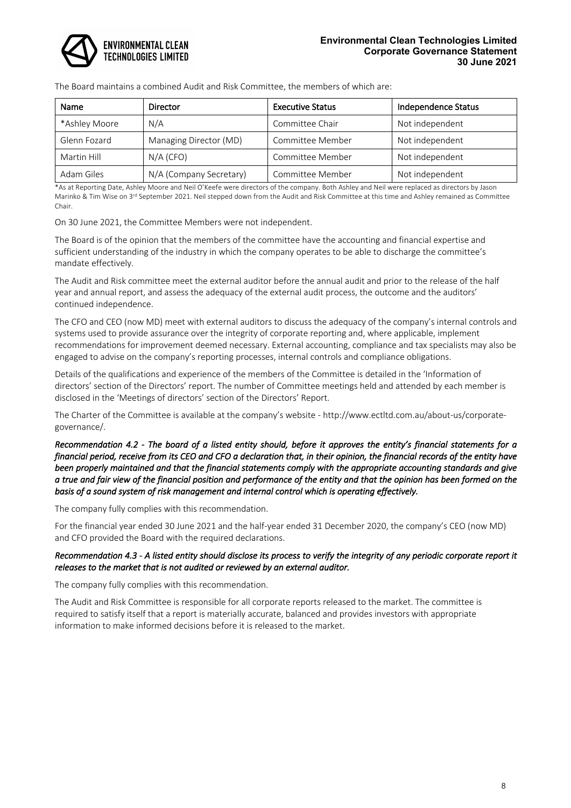

#### **Environmental Clean Technologies Limited Corporate Governance Statement 30 June 2021**

The Board maintains a combined Audit and Risk Committee, the members of which are:

| Name          | Director                | <b>Executive Status</b> | Independence Status |
|---------------|-------------------------|-------------------------|---------------------|
| *Ashley Moore | N/A                     | Committee Chair         | Not independent     |
| Glenn Fozard  | Managing Director (MD)  | Committee Member        | Not independent     |
| Martin Hill   | $N/A$ (CFO)             | Committee Member        | Not independent     |
| Adam Giles    | N/A (Company Secretary) | Committee Member        | Not independent     |

\*As at Reporting Date, Ashley Moore and Neil O'Keefe were directors of the company. Both Ashley and Neil were replaced as directors by Jason Marinko & Tim Wise on 3<sup>rd</sup> September 2021. Neil stepped down from the Audit and Risk Committee at this time and Ashley remained as Committee Chair.

On 30 June 2021, the Committee Members were not independent.

The Board is of the opinion that the members of the committee have the accounting and financial expertise and sufficient understanding of the industry in which the company operates to be able to discharge the committee's mandate effectively.

The Audit and Risk committee meet the external auditor before the annual audit and prior to the release of the half year and annual report, and assess the adequacy of the external audit process, the outcome and the auditors' continued independence.

The CFO and CEO (now MD) meet with external auditors to discuss the adequacy of the company's internal controls and systems used to provide assurance over the integrity of corporate reporting and, where applicable, implement recommendations for improvement deemed necessary. External accounting, compliance and tax specialists may also be engaged to advise on the company's reporting processes, internal controls and compliance obligations.

Details of the qualifications and experience of the members of the Committee is detailed in the 'Information of directors' section of the Directors' report. The number of Committee meetings held and attended by each member is disclosed in the 'Meetings of directors' section of the Directors' Report.

The Charter of the Committee is available at the company's website - http://www.ectltd.com.au/about-us/corporategovernance/.

*Recommendation 4.2 - The board of a listed entity should, before it approves the entity's financial statements for a financial period, receive from its CEO and CFO a declaration that, in their opinion, the financial records of the entity have been properly maintained and that the financial statements comply with the appropriate accounting standards and give a true and fair view of the financial position and performance of the entity and that the opinion has been formed on the basis of a sound system of risk management and internal control which is operating effectively.* 

The company fully complies with this recommendation.

For the financial year ended 30 June 2021 and the half-year ended 31 December 2020, the company's CEO (now MD) and CFO provided the Board with the required declarations.

# *Recommendation 4.3 - A listed entity should disclose its process to verify the integrity of any periodic corporate report it releases to the market that is not audited or reviewed by an external auditor.*

The company fully complies with this recommendation.

The Audit and Risk Committee is responsible for all corporate reports released to the market. The committee is required to satisfy itself that a report is materially accurate, balanced and provides investors with appropriate information to make informed decisions before it is released to the market.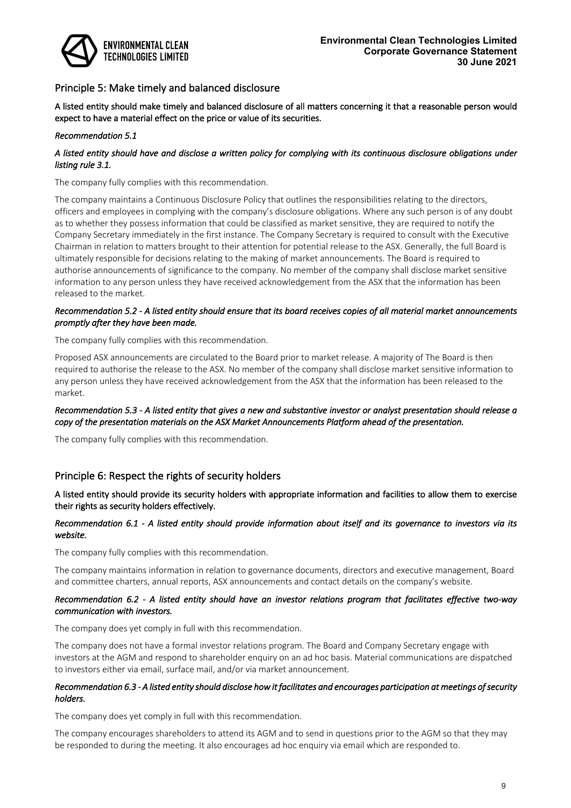

# Principle 5: Make timely and balanced disclosure

A listed entity should make timely and balanced disclosure of all matters concerning it that a reasonable person would expect to have a material effect on the price or value of its securities.

#### *Recommendation 5.1*

# *A listed entity should have and disclose a written policy for complying with its continuous disclosure obligations under listing rule 3.1.*

The company fully complies with this recommendation.

The company maintains a Continuous Disclosure Policy that outlines the responsibilities relating to the directors, officers and employees in complying with the company's disclosure obligations. Where any such person is of any doubt as to whether they possess information that could be classified as market sensitive, they are required to notify the Company Secretary immediately in the first instance. The Company Secretary is required to consult with the Executive Chairman in relation to matters brought to their attention for potential release to the ASX. Generally, the full Board is ultimately responsible for decisions relating to the making of market announcements. The Board is required to authorise announcements of significance to the company. No member of the company shall disclose market sensitive information to any person unless they have received acknowledgement from the ASX that the information has been released to the market.

### *Recommendation 5.2 - A listed entity should ensure that its board receives copies of all material market announcements promptly after they have been made.*

The company fully complies with this recommendation.

Proposed ASX announcements are circulated to the Board prior to market release. A majority of The Board is then required to authorise the release to the ASX. No member of the company shall disclose market sensitive information to any person unless they have received acknowledgement from the ASX that the information has been released to the market.

# *Recommendation 5.3 - A listed entity that gives a new and substantive investor or analyst presentation should release a copy of the presentation materials on the ASX Market Announcements Platform ahead of the presentation.*

The company fully complies with this recommendation.

# Principle 6: Respect the rights of security holders

A listed entity should provide its security holders with appropriate information and facilities to allow them to exercise their rights as security holders effectively.

#### *Recommendation 6.1 - A listed entity should provide information about itself and its governance to investors via its website.*

The company fully complies with this recommendation.

The company maintains information in relation to governance documents, directors and executive management, Board and committee charters, annual reports, ASX announcements and contact details on the company's website.

#### *Recommendation 6.2 - A listed entity should have an investor relations program that facilitates effective two-way communication with investors.*

The company does yet comply in full with this recommendation.

The company does not have a formal investor relations program. The Board and Company Secretary engage with investors at the AGM and respond to shareholder enquiry on an ad hoc basis. Material communications are dispatched to investors either via email, surface mail, and/or via market announcement.

#### *Recommendation 6.3 - A listed entity should disclose how it facilitates and encourages participation at meetings of security holders.*

The company does yet comply in full with this recommendation.

The company encourages shareholders to attend its AGM and to send in questions prior to the AGM so that they may be responded to during the meeting. It also encourages ad hoc enquiry via email which are responded to.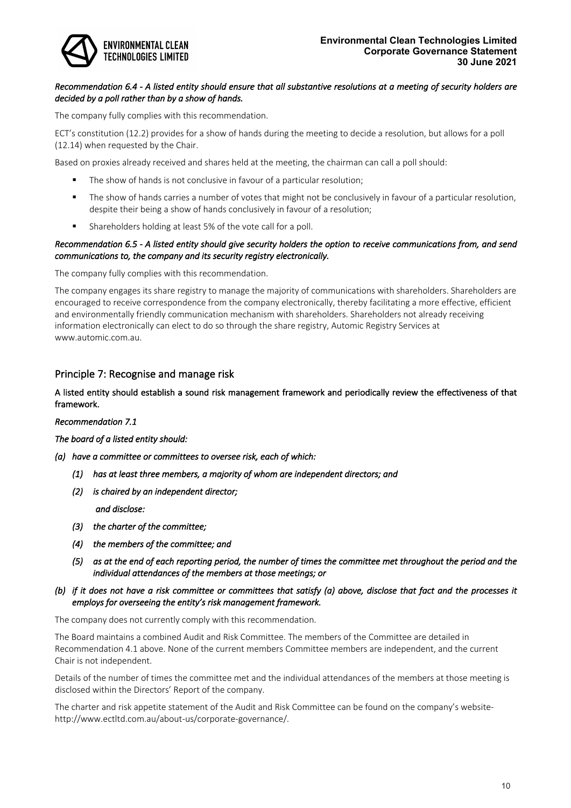

# *Recommendation 6.4 - A listed entity should ensure that all substantive resolutions at a meeting of security holders are decided by a poll rather than by a show of hands.*

The company fully complies with this recommendation.

ECT's constitution (12.2) provides for a show of hands during the meeting to decide a resolution, but allows for a poll (12.14) when requested by the Chair.

Based on proxies already received and shares held at the meeting, the chairman can call a poll should:

- The show of hands is not conclusive in favour of a particular resolution;
- The show of hands carries a number of votes that might not be conclusively in favour of a particular resolution, despite their being a show of hands conclusively in favour of a resolution;
- Shareholders holding at least 5% of the vote call for a poll.

### *Recommendation 6.5 - A listed entity should give security holders the option to receive communications from, and send communications to, the company and its security registry electronically.*

The company fully complies with this recommendation.

The company engages its share registry to manage the majority of communications with shareholders. Shareholders are encouraged to receive correspondence from the company electronically, thereby facilitating a more effective, efficient and environmentally friendly communication mechanism with shareholders. Shareholders not already receiving information electronically can elect to do so through the share registry, Automic Registry Services at www.automic.com.au.

# Principle 7: Recognise and manage risk

### A listed entity should establish a sound risk management framework and periodically review the effectiveness of that framework.

*Recommendation 7.1* 

*The board of a listed entity should:* 

- *(a) have a committee or committees to oversee risk, each of which:* 
	- *(1) has at least three members, a majority of whom are independent directors; and*
	- *(2) is chaired by an independent director;*

*and disclose:* 

- *(3) the charter of the committee;*
- *(4) the members of the committee; and*
- *(5) as at the end of each reporting period, the number of times the committee met throughout the period and the individual attendances of the members at those meetings; or*
- *(b) if it does not have a risk committee or committees that satisfy (a) above, disclose that fact and the processes it employs for overseeing the entity's risk management framework.*

The company does not currently comply with this recommendation.

The Board maintains a combined Audit and Risk Committee. The members of the Committee are detailed in Recommendation 4.1 above. None of the current members Committee members are independent, and the current Chair is not independent.

Details of the number of times the committee met and the individual attendances of the members at those meeting is disclosed within the Directors' Report of the company.

The charter and risk appetite statement of the Audit and Risk Committee can be found on the company's websitehttp://www.ectltd.com.au/about-us/corporate-governance/.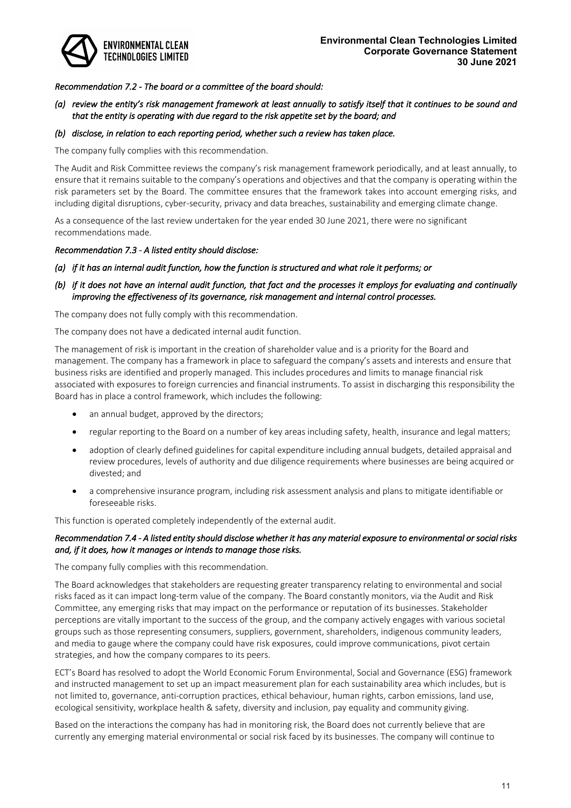

# *Recommendation 7.2 - The board or a committee of the board should:*

# *(a) review the entity's risk management framework at least annually to satisfy itself that it continues to be sound and that the entity is operating with due regard to the risk appetite set by the board; and*

#### *(b) disclose, in relation to each reporting period, whether such a review has taken place.*

The company fully complies with this recommendation.

The Audit and Risk Committee reviews the company's risk management framework periodically, and at least annually, to ensure that it remains suitable to the company's operations and objectives and that the company is operating within the risk parameters set by the Board. The committee ensures that the framework takes into account emerging risks, and including digital disruptions, cyber-security, privacy and data breaches, sustainability and emerging climate change.

As a consequence of the last review undertaken for the year ended 30 June 2021, there were no significant recommendations made.

#### *Recommendation 7.3 - A listed entity should disclose:*

*(a) if it has an internal audit function, how the function is structured and what role it performs; or* 

# *(b) if it does not have an internal audit function, that fact and the processes it employs for evaluating and continually improving the effectiveness of its governance, risk management and internal control processes.*

The company does not fully comply with this recommendation.

The company does not have a dedicated internal audit function.

The management of risk is important in the creation of shareholder value and is a priority for the Board and management. The company has a framework in place to safeguard the company's assets and interests and ensure that business risks are identified and properly managed. This includes procedures and limits to manage financial risk associated with exposures to foreign currencies and financial instruments. To assist in discharging this responsibility the Board has in place a control framework, which includes the following:

- an annual budget, approved by the directors;
- regular reporting to the Board on a number of key areas including safety, health, insurance and legal matters;
- adoption of clearly defined guidelines for capital expenditure including annual budgets, detailed appraisal and review procedures, levels of authority and due diligence requirements where businesses are being acquired or divested; and
- a comprehensive insurance program, including risk assessment analysis and plans to mitigate identifiable or foreseeable risks.

This function is operated completely independently of the external audit.

#### *Recommendation 7.4 - A listed entity should disclose whether it has any material exposure to environmental or social risks and, if it does, how it manages or intends to manage those risks.*

The company fully complies with this recommendation.

The Board acknowledges that stakeholders are requesting greater transparency relating to environmental and social risks faced as it can impact long-term value of the company. The Board constantly monitors, via the Audit and Risk Committee, any emerging risks that may impact on the performance or reputation of its businesses. Stakeholder perceptions are vitally important to the success of the group, and the company actively engages with various societal groups such as those representing consumers, suppliers, government, shareholders, indigenous community leaders, and media to gauge where the company could have risk exposures, could improve communications, pivot certain strategies, and how the company compares to its peers.

ECT's Board has resolved to adopt the World Economic Forum Environmental, Social and Governance (ESG) framework and instructed management to set up an impact measurement plan for each sustainability area which includes, but is not limited to, governance, anti-corruption practices, ethical behaviour, human rights, carbon emissions, land use, ecological sensitivity, workplace health & safety, diversity and inclusion, pay equality and community giving.

Based on the interactions the company has had in monitoring risk, the Board does not currently believe that are currently any emerging material environmental or social risk faced by its businesses. The company will continue to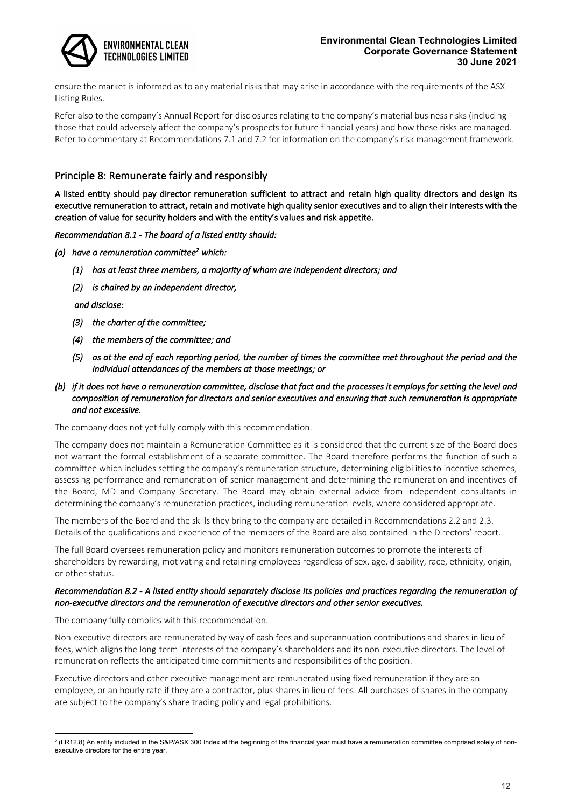

ensure the market is informed as to any material risks that may arise in accordance with the requirements of the ASX Listing Rules.

Refer also to the company's Annual Report for disclosures relating to the company's material business risks (including those that could adversely affect the company's prospects for future financial years) and how these risks are managed. Refer to commentary at Recommendations 7.1 and 7.2 for information on the company's risk management framework.

# Principle 8: Remunerate fairly and responsibly

A listed entity should pay director remuneration sufficient to attract and retain high quality directors and design its executive remuneration to attract, retain and motivate high quality senior executives and to align their interests with the creation of value for security holders and with the entity's values and risk appetite.

*Recommendation 8.1 - The board of a listed entity should:* 

- *(a) have a remuneration committee2 which:* 
	- *(1) has at least three members, a majority of whom are independent directors; and*
	- *(2) is chaired by an independent director,*

 *and disclose:* 

- *(3) the charter of the committee;*
- *(4) the members of the committee; and*
- *(5) as at the end of each reporting period, the number of times the committee met throughout the period and the individual attendances of the members at those meetings; or*
- *(b) if it does not have a remuneration committee, disclose that fact and the processes it employs for setting the level and composition of remuneration for directors and senior executives and ensuring that such remuneration is appropriate and not excessive.*

The company does not yet fully comply with this recommendation.

The company does not maintain a Remuneration Committee as it is considered that the current size of the Board does not warrant the formal establishment of a separate committee. The Board therefore performs the function of such a committee which includes setting the company's remuneration structure, determining eligibilities to incentive schemes, assessing performance and remuneration of senior management and determining the remuneration and incentives of the Board, MD and Company Secretary. The Board may obtain external advice from independent consultants in determining the company's remuneration practices, including remuneration levels, where considered appropriate.

The members of the Board and the skills they bring to the company are detailed in Recommendations 2.2 and 2.3. Details of the qualifications and experience of the members of the Board are also contained in the Directors' report.

The full Board oversees remuneration policy and monitors remuneration outcomes to promote the interests of shareholders by rewarding, motivating and retaining employees regardless of sex, age, disability, race, ethnicity, origin, or other status.

#### *Recommendation 8.2 - A listed entity should separately disclose its policies and practices regarding the remuneration of non-executive directors and the remuneration of executive directors and other senior executives.*

The company fully complies with this recommendation.

Non-executive directors are remunerated by way of cash fees and superannuation contributions and shares in lieu of fees, which aligns the long-term interests of the company's shareholders and its non-executive directors. The level of remuneration reflects the anticipated time commitments and responsibilities of the position.

Executive directors and other executive management are remunerated using fixed remuneration if they are an employee, or an hourly rate if they are a contractor, plus shares in lieu of fees. All purchases of shares in the company are subject to the company's share trading policy and legal prohibitions.

<sup>&</sup>lt;sup>2</sup> (LR12.8) An entity included in the S&P/ASX 300 Index at the beginning of the financial year must have a remuneration committee comprised solely of nonexecutive directors for the entire year.